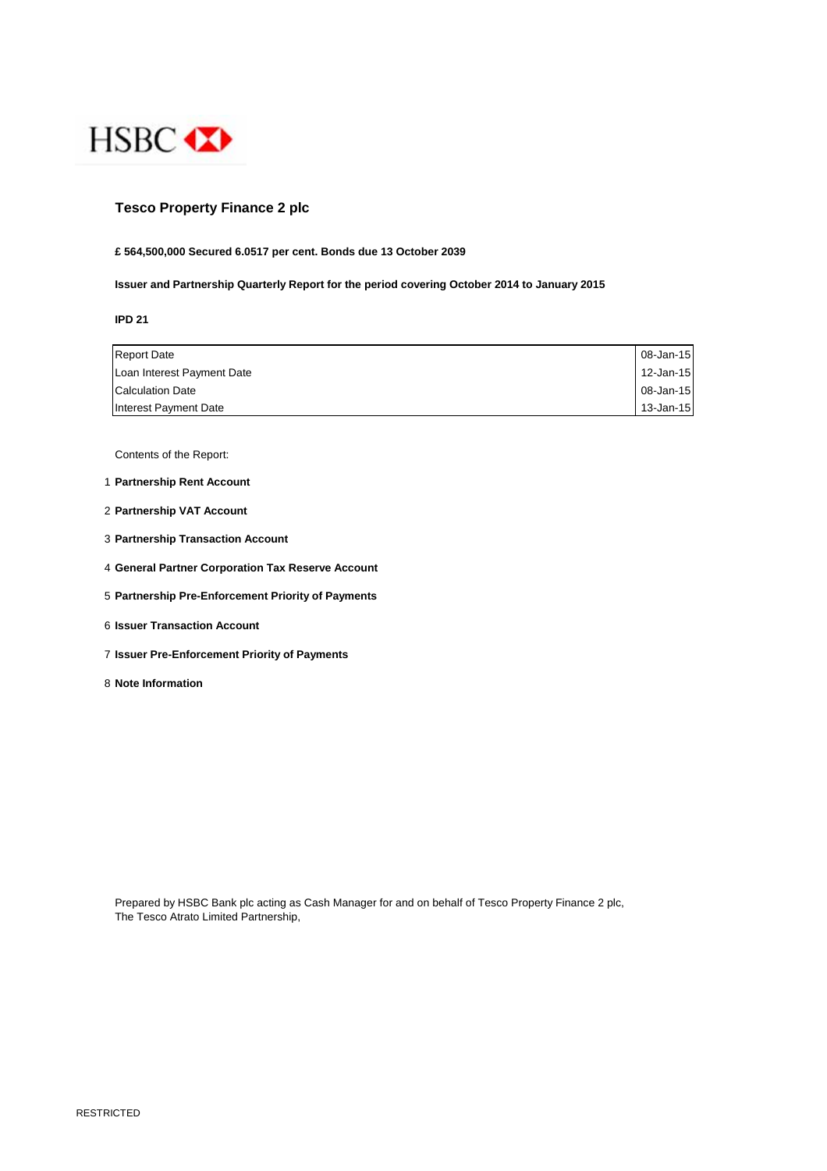

## **Tesco Property Finance 2 plc**

#### **£ 564,500,000 Secured 6.0517 per cent. Bonds due 13 October 2039**

**Issuer and Partnership Quarterly Report for the period covering October 2014 to January 2015**

**IPD 21**

| <b>Report Date</b>         | 08-Jan-15    |
|----------------------------|--------------|
| Loan Interest Payment Date | $12$ -Jan-15 |
| <b>Calculation Date</b>    | 08-Jan-15    |
| Interest Payment Date      | 13-Jan-15    |

Contents of the Report:

- 1 **Partnership Rent Account**
- 2 **Partnership VAT Account**
- 3 **Partnership Transaction Account**
- 4 **General Partner Corporation Tax Reserve Account**
- 5 **Partnership Pre-Enforcement Priority of Payments**
- 6 **Issuer Transaction Account**
- 7 **Issuer Pre-Enforcement Priority of Payments**
- 8 **Note Information**

Prepared by HSBC Bank plc acting as Cash Manager for and on behalf of Tesco Property Finance 2 plc, The Tesco Atrato Limited Partnership,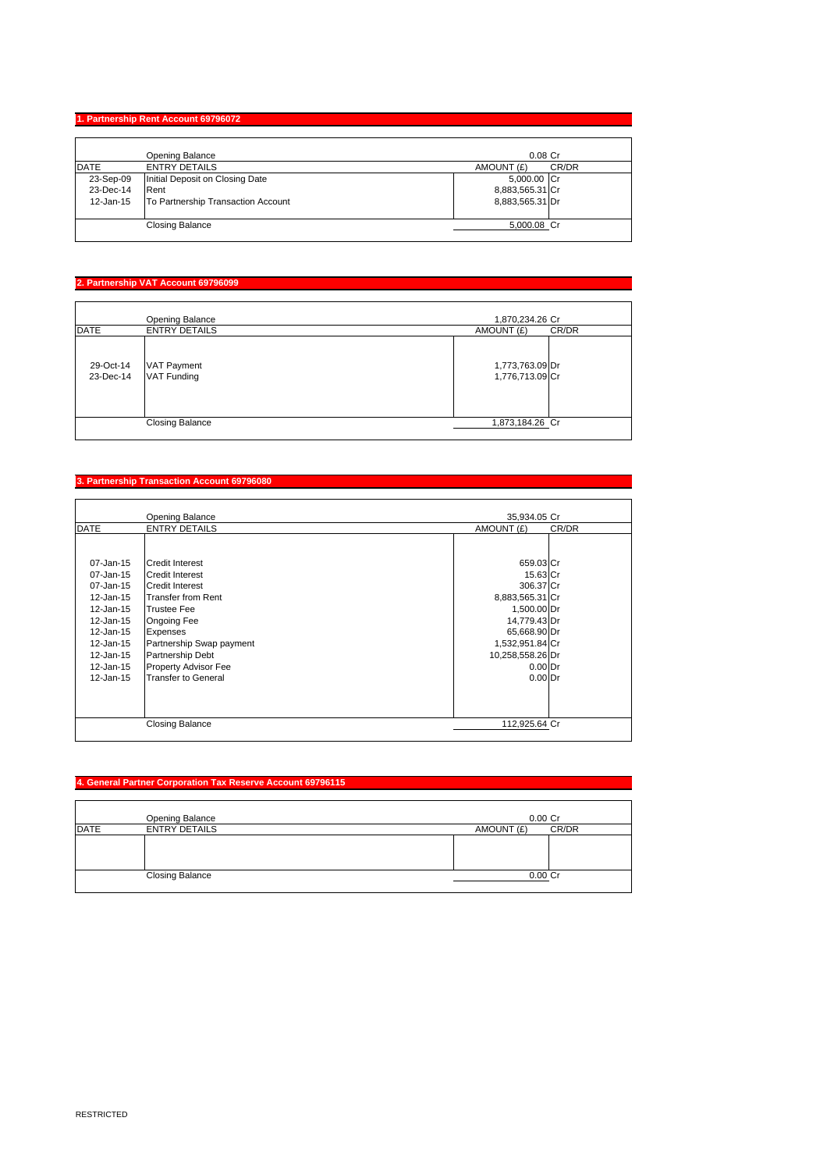## **1. Partnership Rent Account 69796072**

|             | Opening Balance                    | $0.08$ Cr           |
|-------------|------------------------------------|---------------------|
| <b>DATE</b> | <b>ENTRY DETAILS</b>               | CR/DR<br>AMOUNT (£) |
| 23-Sep-09   | Initial Deposit on Closing Date    | 5,000.00 Cr         |
| 23-Dec-14   | Rent                               | 8,883,565.31 Cr     |
| 12-Jan-15   | To Partnership Transaction Account | 8,883,565.31 Dr     |
|             | <b>Closing Balance</b>             | 5,000.08 Cr         |

# **2. Partnership VAT Account 69796099**

|                        | <b>Opening Balance</b>                   | 1,870,234.26 Cr                    |
|------------------------|------------------------------------------|------------------------------------|
| <b>DATE</b>            | <b>ENTRY DETAILS</b>                     | AMOUNT (£)<br>CR/DR                |
| 29-Oct-14<br>23-Dec-14 | <b>VAT Payment</b><br><b>VAT Funding</b> | 1,773,763.09 Dr<br>1,776,713.09 Cr |
|                        | <b>Closing Balance</b>                   | 1,873,184.26 Cr                    |

#### **3. Partnership Transaction Account 69796080**

|                                                                                                                                             | Opening Balance                                                                                                                                                                                                                                                | 35,934.05 Cr                                                                                                                                                          |       |
|---------------------------------------------------------------------------------------------------------------------------------------------|----------------------------------------------------------------------------------------------------------------------------------------------------------------------------------------------------------------------------------------------------------------|-----------------------------------------------------------------------------------------------------------------------------------------------------------------------|-------|
| <b>DATE</b>                                                                                                                                 | <b>ENTRY DETAILS</b>                                                                                                                                                                                                                                           | AMOUNT (£)                                                                                                                                                            | CR/DR |
| 07-Jan-15<br>07-Jan-15<br>07-Jan-15<br>12-Jan-15<br>12-Jan-15<br>12-Jan-15<br>12-Jan-15<br>12-Jan-15<br>12-Jan-15<br>12-Jan-15<br>12-Jan-15 | <b>Credit Interest</b><br><b>Credit Interest</b><br><b>Credit Interest</b><br><b>Transfer from Rent</b><br><b>Trustee Fee</b><br>Ongoing Fee<br>Expenses<br>Partnership Swap payment<br>Partnership Debt<br>Property Advisor Fee<br><b>Transfer to General</b> | 659.03 Cr<br>15.63 Cr<br>306.37 Cr<br>8,883,565.31 Cr<br>1,500.00 Dr<br>14,779.43 Dr<br>65,668.90 Dr<br>1,532,951.84 Cr<br>10,258,558.26 Dr<br>$0.00$ Dr<br>$0.00$ Dr |       |
|                                                                                                                                             | <b>Closing Balance</b>                                                                                                                                                                                                                                         | 112,925.64 Cr                                                                                                                                                         |       |

## **4. General Partner Corporation Tax Reserve Account 69796115**

|             | Opening Balance        | $0.00$ Cr           |
|-------------|------------------------|---------------------|
| <b>DATE</b> | <b>ENTRY DETAILS</b>   | CR/DR<br>AMOUNT (£) |
|             |                        |                     |
|             |                        |                     |
|             |                        |                     |
|             | <b>Closing Balance</b> | $0.00C$ r           |
|             |                        |                     |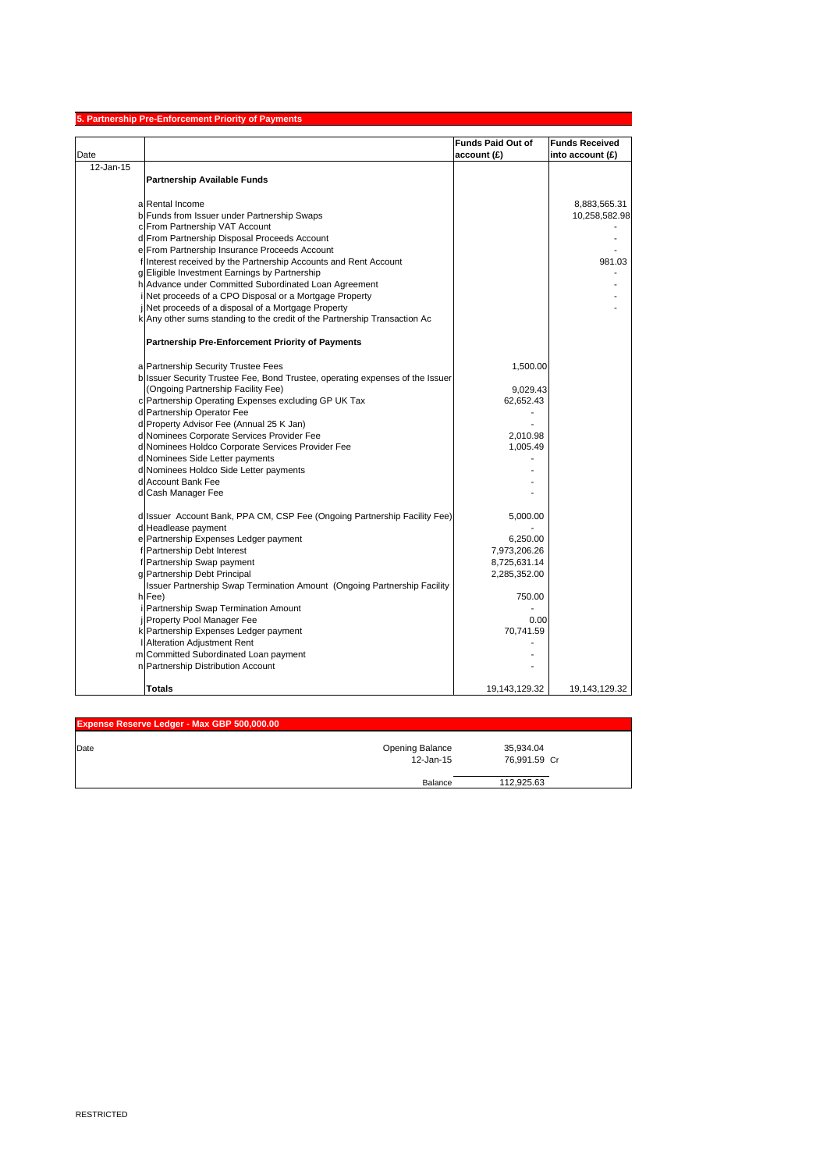|           | 5. Partnership Pre-Enforcement Priority of Payments                           |                          |                       |
|-----------|-------------------------------------------------------------------------------|--------------------------|-----------------------|
|           |                                                                               | <b>Funds Paid Out of</b> | <b>Funds Received</b> |
| Date      |                                                                               | account (£)              | into account $(E)$    |
| 12-Jan-15 |                                                                               |                          |                       |
|           | <b>Partnership Available Funds</b>                                            |                          |                       |
|           |                                                                               |                          |                       |
|           | a Rental Income                                                               |                          | 8,883,565.31          |
|           | b Funds from Issuer under Partnership Swaps                                   |                          | 10,258,582.98         |
|           | c From Partnership VAT Account                                                |                          |                       |
|           | d From Partnership Disposal Proceeds Account                                  |                          |                       |
|           | e From Partnership Insurance Proceeds Account                                 |                          |                       |
|           | f Interest received by the Partnership Accounts and Rent Account              |                          | 981.03                |
|           | g Eligible Investment Earnings by Partnership                                 |                          |                       |
|           | h Advance under Committed Subordinated Loan Agreement                         |                          |                       |
|           | Net proceeds of a CPO Disposal or a Mortgage Property                         |                          |                       |
|           | Net proceeds of a disposal of a Mortgage Property                             |                          |                       |
|           | k Any other sums standing to the credit of the Partnership Transaction Ac     |                          |                       |
|           | <b>Partnership Pre-Enforcement Priority of Payments</b>                       |                          |                       |
|           |                                                                               |                          |                       |
|           | a Partnership Security Trustee Fees                                           | 1,500.00                 |                       |
|           | b Issuer Security Trustee Fee, Bond Trustee, operating expenses of the Issuer |                          |                       |
|           | (Ongoing Partnership Facility Fee)                                            | 9,029.43                 |                       |
|           | c Partnership Operating Expenses excluding GP UK Tax                          | 62,652.43                |                       |
|           | d Partnership Operator Fee                                                    |                          |                       |
|           | d Property Advisor Fee (Annual 25 K Jan)                                      |                          |                       |
|           | d Nominees Corporate Services Provider Fee                                    | 2,010.98                 |                       |
|           | d Nominees Holdco Corporate Services Provider Fee                             | 1,005.49                 |                       |
|           | d Nominees Side Letter payments                                               |                          |                       |
|           | d Nominees Holdco Side Letter payments                                        |                          |                       |
|           | d Account Bank Fee                                                            |                          |                       |
|           | d Cash Manager Fee                                                            |                          |                       |
|           | d Issuer Account Bank, PPA CM, CSP Fee (Ongoing Partnership Facility Fee)     | 5,000.00                 |                       |
|           | d Headlease payment                                                           |                          |                       |
|           | e Partnership Expenses Ledger payment                                         | 6,250.00                 |                       |
|           | f Partnership Debt Interest                                                   | 7,973,206.26             |                       |
|           | f Partnership Swap payment                                                    | 8,725,631.14             |                       |
|           | g Partnership Debt Principal                                                  | 2,285,352.00             |                       |
|           | Issuer Partnership Swap Termination Amount (Ongoing Partnership Facility      |                          |                       |
|           | h Fee)                                                                        | 750.00                   |                       |
|           | Partnership Swap Termination Amount                                           |                          |                       |
|           | Property Pool Manager Fee                                                     | 0.00                     |                       |
|           | k Partnership Expenses Ledger payment                                         | 70,741.59                |                       |
|           | Alteration Adjustment Rent                                                    |                          |                       |
|           | m Committed Subordinated Loan payment                                         |                          |                       |
|           | n Partnership Distribution Account                                            |                          |                       |
|           | Totals                                                                        | 19,143,129.32            | 19,143,129.32         |

| Expense Reserve Ledger - Max GBP 500,000.00 |                 |              |  |
|---------------------------------------------|-----------------|--------------|--|
| Date                                        | Opening Balance | 35,934.04    |  |
|                                             | 12-Jan-15       | 76.991.59 Cr |  |
|                                             |                 |              |  |
|                                             | Balance         | 112.925.63   |  |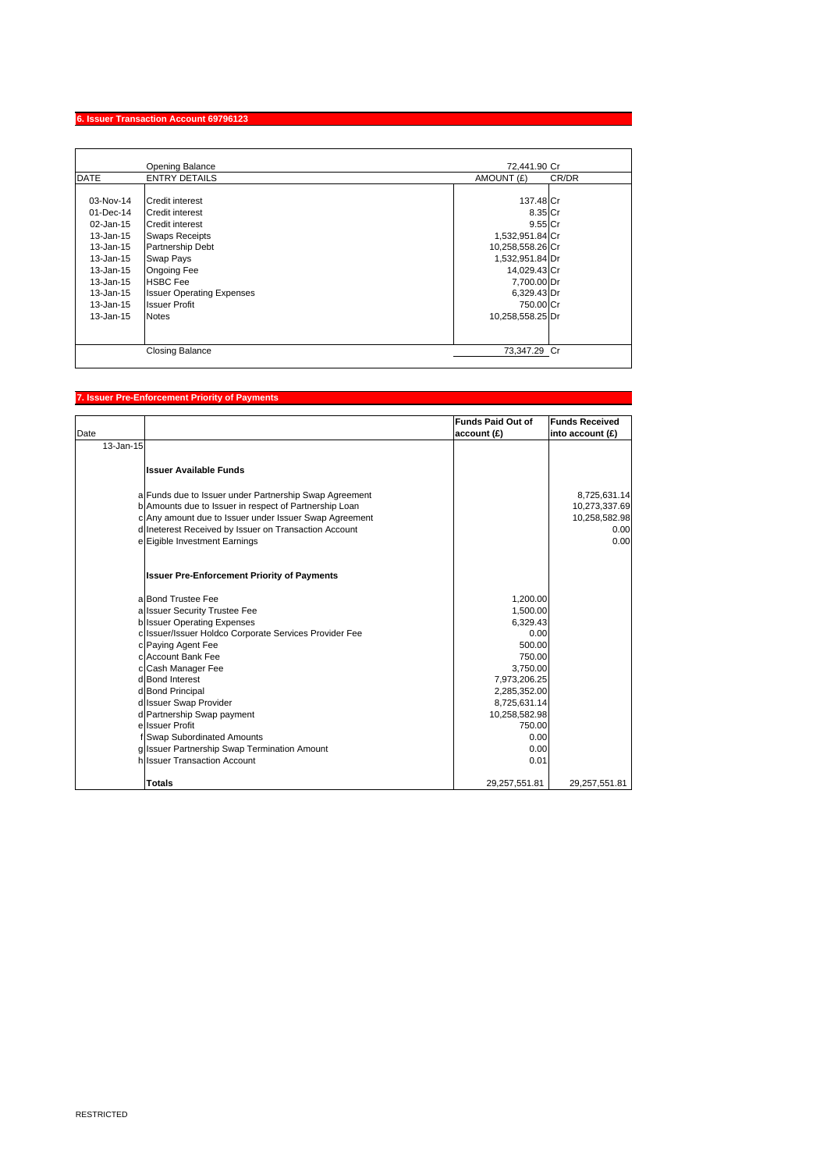### **6. Issuer Transaction Account 69796123**

|                                                                                                                                                     | <b>Opening Balance</b>                                                                                                                                                                                                                             | 72.441.90 Cr                                                                                                                                                               |       |
|-----------------------------------------------------------------------------------------------------------------------------------------------------|----------------------------------------------------------------------------------------------------------------------------------------------------------------------------------------------------------------------------------------------------|----------------------------------------------------------------------------------------------------------------------------------------------------------------------------|-------|
| <b>DATE</b>                                                                                                                                         | <b>ENTRY DETAILS</b>                                                                                                                                                                                                                               | AMOUNT (£)                                                                                                                                                                 | CR/DR |
| 03-Nov-14<br>$01 - Dec-14$<br>02-Jan-15<br>13-Jan-15<br>13-Jan-15<br>13-Jan-15<br>13-Jan-15<br>13-Jan-15<br>13-Jan-15<br>13-Jan-15<br>$13 - Jan-15$ | Credit interest<br>Credit interest<br><b>Credit interest</b><br><b>Swaps Receipts</b><br><b>Partnership Debt</b><br>Swap Pays<br><b>Ongoing Fee</b><br><b>HSBC Fee</b><br><b>Issuer Operating Expenses</b><br><b>Issuer Profit</b><br><b>Notes</b> | 137.48 Cr<br>8.35 Cr<br>$9.55$ Cr<br>1,532,951.84 Cr<br>10,258,558.26 Cr<br>1,532,951.84 Dr<br>14,029.43 Cr<br>7,700.00 Dr<br>6,329.43 Dr<br>750.00 Cr<br>10,258,558.25 Dr |       |
|                                                                                                                                                     | <b>Closing Balance</b>                                                                                                                                                                                                                             | 73.347.29 Cr                                                                                                                                                               |       |

## **7. Issuer Pre-Enforcement Priority of Payments**

| Date      |                                                        | <b>Funds Paid Out of</b><br>account (£) | <b>Funds Received</b><br>into account (£) |
|-----------|--------------------------------------------------------|-----------------------------------------|-------------------------------------------|
| 13-Jan-15 |                                                        |                                         |                                           |
|           | <b>Issuer Available Funds</b>                          |                                         |                                           |
|           | a Funds due to Issuer under Partnership Swap Agreement |                                         | 8,725,631.14                              |
|           | b Amounts due to Issuer in respect of Partnership Loan |                                         | 10,273,337.69                             |
|           | c Any amount due to Issuer under Issuer Swap Agreement |                                         | 10,258,582.98                             |
|           | d Ineterest Received by Issuer on Transaction Account  |                                         | 0.00                                      |
|           | e Eigible Investment Earnings                          |                                         | 0.00                                      |
|           | <b>Issuer Pre-Enforcement Priority of Payments</b>     |                                         |                                           |
|           | a Bond Trustee Fee                                     | 1,200.00                                |                                           |
|           | a Issuer Security Trustee Fee                          | 1,500.00                                |                                           |
|           | <b>b</b> Issuer Operating Expenses                     | 6,329.43                                |                                           |
|           | c Issuer/Issuer Holdco Corporate Services Provider Fee | 0.00                                    |                                           |
|           | c Paying Agent Fee                                     | 500.00                                  |                                           |
|           | c Account Bank Fee                                     | 750.00                                  |                                           |
|           | c Cash Manager Fee                                     | 3,750.00                                |                                           |
|           | d Bond Interest                                        | 7,973,206.25                            |                                           |
|           | d Bond Principal<br>d Issuer Swap Provider             | 2,285,352.00<br>8,725,631.14            |                                           |
|           | d Partnership Swap payment                             | 10,258,582.98                           |                                           |
|           | e Issuer Profit                                        | 750.00                                  |                                           |
|           | f Swap Subordinated Amounts                            | 0.00                                    |                                           |
|           | g Issuer Partnership Swap Termination Amount           | 0.00                                    |                                           |
|           | h Issuer Transaction Account                           | 0.01                                    |                                           |
|           | <b>Totals</b>                                          | 29,257,551.81                           | 29,257,551.81                             |